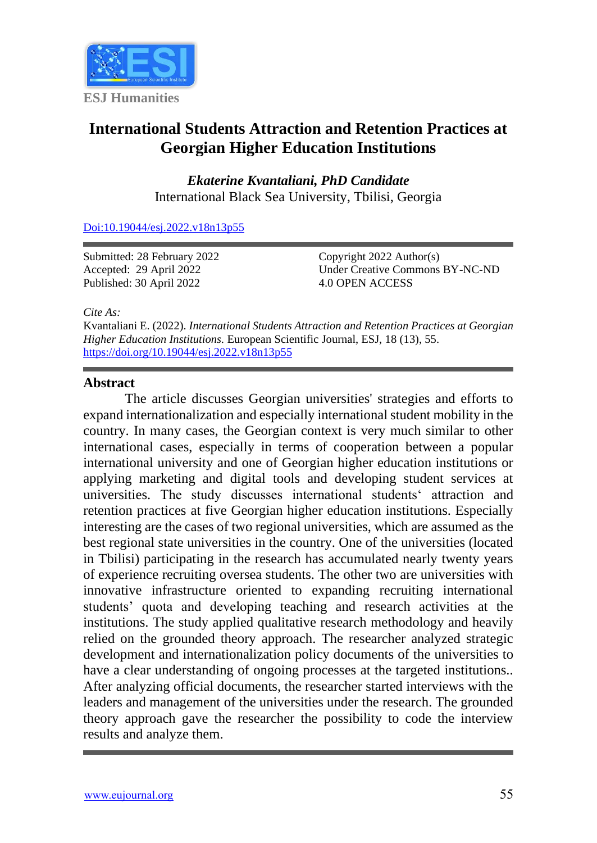

# **International Students Attraction and Retention Practices at Georgian Higher Education Institutions**

*Ekaterine Kvantaliani, PhD Candidate* International Black Sea University, Tbilisi, Georgia

[Doi:10.19044/esj.2022.v18n13p55](https://doi.org/10.19044/esj.2022.v18n13p55)

Submitted: 28 February 2022 Accepted: 29 April 2022 Published: 30 April 2022

Copyright 2022 Author(s) Under Creative Commons BY-NC-ND 4.0 OPEN ACCESS

*Cite As:*

Kvantaliani E. (2022). *International Students Attraction and Retention Practices at Georgian Higher Education Institutions.* European Scientific Journal, ESJ, 18 (13), 55. <https://doi.org/10.19044/esj.2022.v18n13p55>

# **Abstract**

The article discusses Georgian universities' strategies and efforts to expand internationalization and especially international student mobility in the country. In many cases, the Georgian context is very much similar to other international cases, especially in terms of cooperation between a popular international university and one of Georgian higher education institutions or applying marketing and digital tools and developing student services at universities. The study discusses international students' attraction and retention practices at five Georgian higher education institutions. Especially interesting are the cases of two regional universities, which are assumed as the best regional state universities in the country. One of the universities (located in Tbilisi) participating in the research has accumulated nearly twenty years of experience recruiting oversea students. The other two are universities with innovative infrastructure oriented to expanding recruiting international students' quota and developing teaching and research activities at the institutions. The study applied qualitative research methodology and heavily relied on the grounded theory approach. The researcher analyzed strategic development and internationalization policy documents of the universities to have a clear understanding of ongoing processes at the targeted institutions.. After analyzing official documents, the researcher started interviews with the leaders and management of the universities under the research. The grounded theory approach gave the researcher the possibility to code the interview results and analyze them.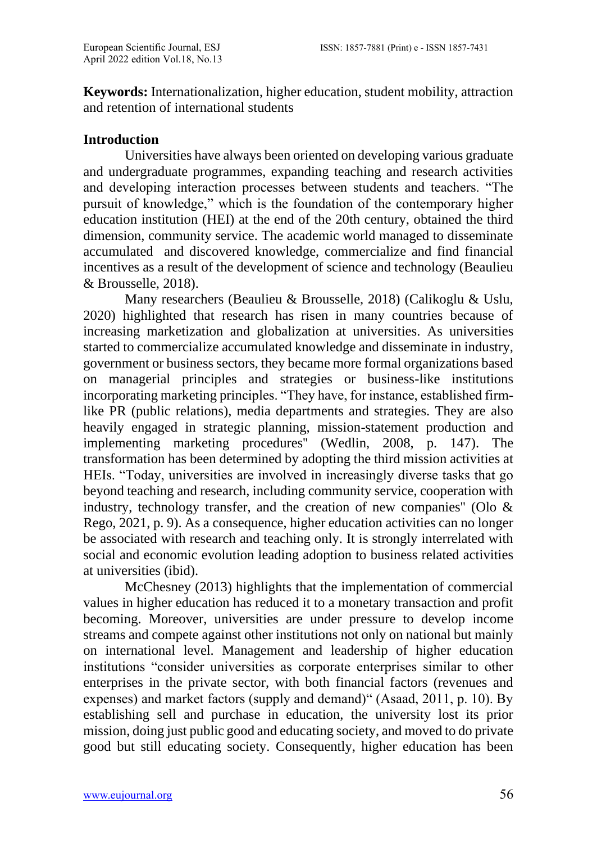**Keywords:** Internationalization, higher education, student mobility, attraction and retention of international students

# **Introduction**

Universities have always been oriented on developing various graduate and undergraduate programmes, expanding teaching and research activities and developing interaction processes between students and teachers. "The pursuit of knowledge," which is the foundation of the contemporary higher education institution (HEI) at the end of the 20th century, obtained the third dimension, community service. The academic world managed to disseminate accumulated and discovered knowledge, commercialize and find financial incentives as a result of the development of science and technology (Beaulieu & Brousselle, 2018).

Many researchers (Beaulieu & Brousselle, 2018) (Calikoglu & Uslu, 2020) highlighted that research has risen in many countries because of increasing marketization and globalization at universities. As universities started to commercialize accumulated knowledge and disseminate in industry, government or business sectors, they became more formal organizations based on managerial principles and strategies or business-like institutions incorporating marketing principles. "They have, for instance, established firmlike PR (public relations), media departments and strategies. They are also heavily engaged in strategic planning, mission-statement production and implementing marketing procedures'' (Wedlin, 2008, p. 147). The transformation has been determined by adopting the third mission activities at HEIs. "Today, universities are involved in increasingly diverse tasks that go beyond teaching and research, including community service, cooperation with industry, technology transfer, and the creation of new companies'' (Olo & Rego, 2021, p. 9). As a consequence, higher education activities can no longer be associated with research and teaching only. It is strongly interrelated with social and economic evolution leading adoption to business related activities at universities (ibid).

McChesney (2013) highlights that the implementation of commercial values in higher education has reduced it to a monetary transaction and profit becoming. Moreover, universities are under pressure to develop income streams and compete against other institutions not only on national but mainly on international level. Management and leadership of higher education institutions "consider universities as corporate enterprises similar to other enterprises in the private sector, with both financial factors (revenues and expenses) and market factors (supply and demand)" (Asaad, 2011, p. 10). By establishing sell and purchase in education, the university lost its prior mission, doing just public good and educating society, and moved to do private good but still educating society. Consequently, higher education has been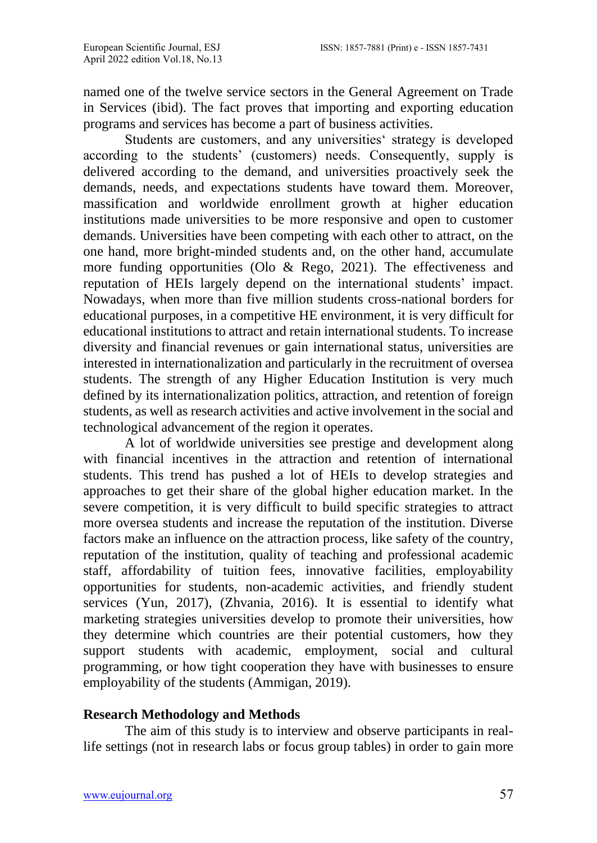named one of the twelve service sectors in the General Agreement on Trade in Services (ibid). The fact proves that importing and exporting education programs and services has become a part of business activities.

Students are customers, and any universities' strategy is developed according to the students' (customers) needs. Consequently, supply is delivered according to the demand, and universities proactively seek the demands, needs, and expectations students have toward them. Moreover, massification and worldwide enrollment growth at higher education institutions made universities to be more responsive and open to customer demands. Universities have been competing with each other to attract, on the one hand, more bright-minded students and, on the other hand, accumulate more funding opportunities (Olo & Rego, 2021). The effectiveness and reputation of HEIs largely depend on the international students' impact. Nowadays, when more than five million students cross-national borders for educational purposes, in a competitive HE environment, it is very difficult for educational institutions to attract and retain international students. To increase diversity and financial revenues or gain international status, universities are interested in internationalization and particularly in the recruitment of oversea students. The strength of any Higher Education Institution is very much defined by its internationalization politics, attraction, and retention of foreign students, as well as research activities and active involvement in the social and technological advancement of the region it operates.

A lot of worldwide universities see prestige and development along with financial incentives in the attraction and retention of international students. This trend has pushed a lot of HEIs to develop strategies and approaches to get their share of the global higher education market. In the severe competition, it is very difficult to build specific strategies to attract more oversea students and increase the reputation of the institution. Diverse factors make an influence on the attraction process, like safety of the country, reputation of the institution, quality of teaching and professional academic staff, affordability of tuition fees, innovative facilities, employability opportunities for students, non-academic activities, and friendly student services (Yun, 2017), (Zhvania, 2016). It is essential to identify what marketing strategies universities develop to promote their universities, how they determine which countries are their potential customers, how they support students with academic, employment, social and cultural programming, or how tight cooperation they have with businesses to ensure employability of the students (Ammigan, 2019).

# **Research Methodology and Methods**

The aim of this study is to interview and observe participants in reallife settings (not in research labs or focus group tables) in order to gain more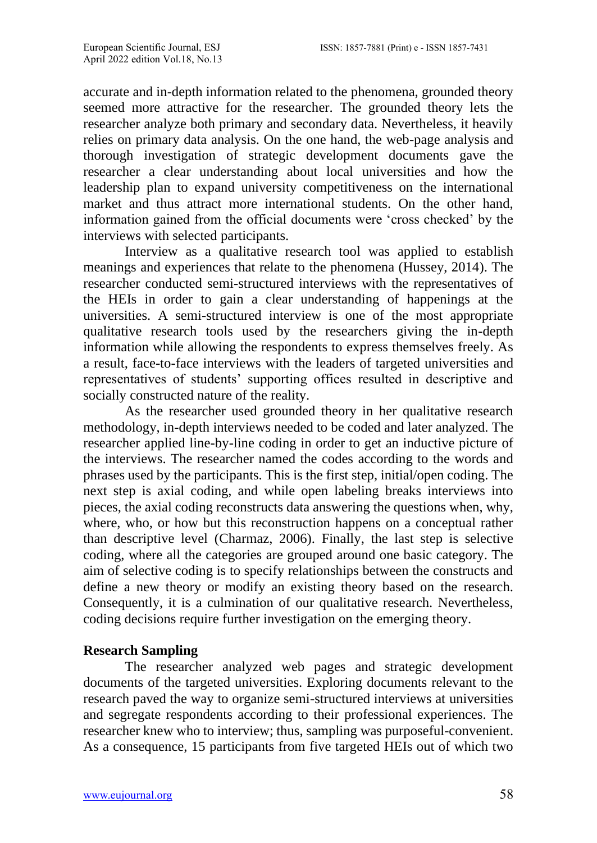accurate and in-depth information related to the phenomena, grounded theory seemed more attractive for the researcher. The grounded theory lets the researcher analyze both primary and secondary data. Nevertheless, it heavily relies on primary data analysis. On the one hand, the web-page analysis and thorough investigation of strategic development documents gave the researcher a clear understanding about local universities and how the leadership plan to expand university competitiveness on the international market and thus attract more international students. On the other hand, information gained from the official documents were 'cross checked' by the interviews with selected participants.

Interview as a qualitative research tool was applied to establish meanings and experiences that relate to the phenomena (Hussey, 2014). The researcher conducted semi-structured interviews with the representatives of the HEIs in order to gain a clear understanding of happenings at the universities. A semi-structured interview is one of the most appropriate qualitative research tools used by the researchers giving the in-depth information while allowing the respondents to express themselves freely. As a result, face-to-face interviews with the leaders of targeted universities and representatives of students' supporting offices resulted in descriptive and socially constructed nature of the reality.

As the researcher used grounded theory in her qualitative research methodology, in-depth interviews needed to be coded and later analyzed. The researcher applied line-by-line coding in order to get an inductive picture of the interviews. The researcher named the codes according to the words and phrases used by the participants. This is the first step, initial/open coding. The next step is axial coding, and while open labeling breaks interviews into pieces, the axial coding reconstructs data answering the questions when, why, where, who, or how but this reconstruction happens on a conceptual rather than descriptive level (Charmaz, 2006). Finally, the last step is selective coding, where all the categories are grouped around one basic category. The aim of selective coding is to specify relationships between the constructs and define a new theory or modify an existing theory based on the research. Consequently, it is a culmination of our qualitative research. Nevertheless, coding decisions require further investigation on the emerging theory.

# **Research Sampling**

The researcher analyzed web pages and strategic development documents of the targeted universities. Exploring documents relevant to the research paved the way to organize semi-structured interviews at universities and segregate respondents according to their professional experiences. The researcher knew who to interview; thus, sampling was purposeful-convenient. As a consequence, 15 participants from five targeted HEIs out of which two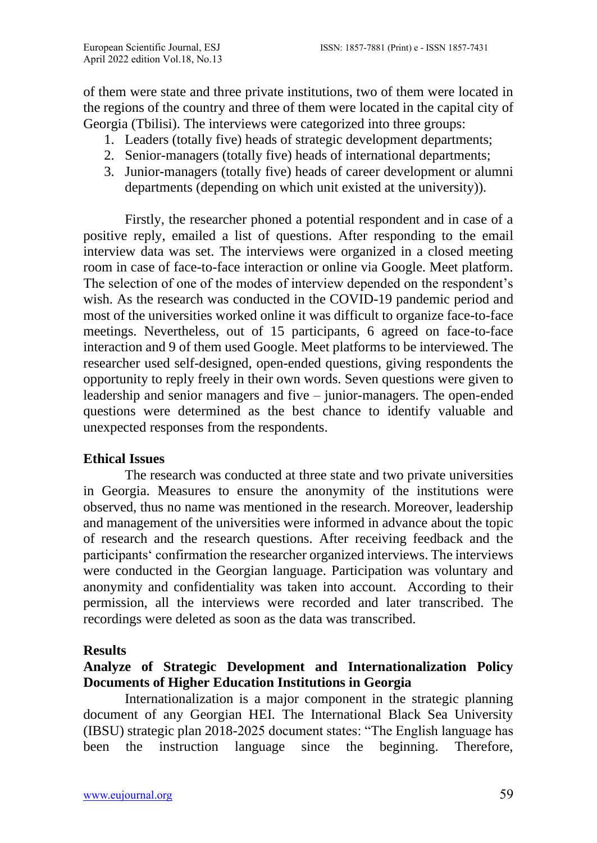of them were state and three private institutions, two of them were located in the regions of the country and three of them were located in the capital city of Georgia (Tbilisi). The interviews were categorized into three groups:

- 1. Leaders (totally five) heads of strategic development departments;
- 2. Senior-managers (totally five) heads of international departments;
- 3. Junior-managers (totally five) heads of career development or alumni departments (depending on which unit existed at the university)).

Firstly, the researcher phoned a potential respondent and in case of a positive reply, emailed a list of questions. After responding to the email interview data was set. The interviews were organized in a closed meeting room in case of face-to-face interaction or online via Google. Meet platform. The selection of one of the modes of interview depended on the respondent's wish. As the research was conducted in the COVID-19 pandemic period and most of the universities worked online it was difficult to organize face-to-face meetings. Nevertheless, out of 15 participants, 6 agreed on face-to-face interaction and 9 of them used Google. Meet platforms to be interviewed. The researcher used self-designed, open-ended questions, giving respondents the opportunity to reply freely in their own words. Seven questions were given to leadership and senior managers and five – junior-managers. The open-ended questions were determined as the best chance to identify valuable and unexpected responses from the respondents.

# **Ethical Issues**

The research was conducted at three state and two private universities in Georgia. Measures to ensure the anonymity of the institutions were observed, thus no name was mentioned in the research. Moreover, leadership and management of the universities were informed in advance about the topic of research and the research questions. After receiving feedback and the participants' confirmation the researcher organized interviews. The interviews were conducted in the Georgian language. Participation was voluntary and anonymity and confidentiality was taken into account. According to their permission, all the interviews were recorded and later transcribed. The recordings were deleted as soon as the data was transcribed.

# **Results**

# **Analyze of Strategic Development and Internationalization Policy Documents of Higher Education Institutions in Georgia**

Internationalization is a major component in the strategic planning document of any Georgian HEI. The International Black Sea University (IBSU) strategic plan 2018-2025 document states: "The English language has been the instruction language since the beginning. Therefore,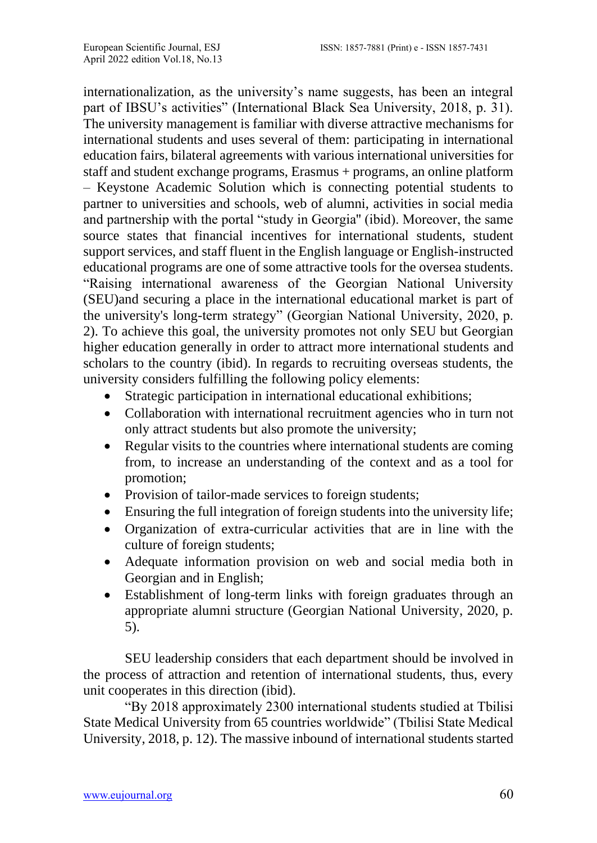internationalization, as the university's name suggests, has been an integral part of IBSU's activities" (International Black Sea University, 2018, p. 31). The university management is familiar with diverse attractive mechanisms for international students and uses several of them: participating in international education fairs, bilateral agreements with various international universities for staff and student exchange programs, Erasmus + programs, an online platform – Keystone Academic Solution which is connecting potential students to partner to universities and schools, web of alumni, activities in social media and partnership with the portal "study in Georgia'' (ibid). Moreover, the same source states that financial incentives for international students, student support services, and staff fluent in the English language or English-instructed educational programs are one of some attractive tools for the oversea students. "Raising international awareness of the Georgian National University (SEU)and securing a place in the international educational market is part of the university's long-term strategy" (Georgian National University, 2020, p. 2). To achieve this goal, the university promotes not only SEU but Georgian higher education generally in order to attract more international students and scholars to the country (ibid). In regards to recruiting overseas students, the university considers fulfilling the following policy elements:

- Strategic participation in international educational exhibitions;
- Collaboration with international recruitment agencies who in turn not only attract students but also promote the university;
- Regular visits to the countries where international students are coming from, to increase an understanding of the context and as a tool for promotion;
- Provision of tailor-made services to foreign students;
- Ensuring the full integration of foreign students into the university life;
- Organization of extra-curricular activities that are in line with the culture of foreign students;
- Adequate information provision on web and social media both in Georgian and in English;
- Establishment of long-term links with foreign graduates through an appropriate alumni structure (Georgian National University, 2020, p. 5).

SEU leadership considers that each department should be involved in the process of attraction and retention of international students, thus, every unit cooperates in this direction (ibid).

"By 2018 approximately 2300 international students studied at Tbilisi State Medical University from 65 countries worldwide" (Tbilisi State Medical University, 2018, p. 12). The massive inbound of international students started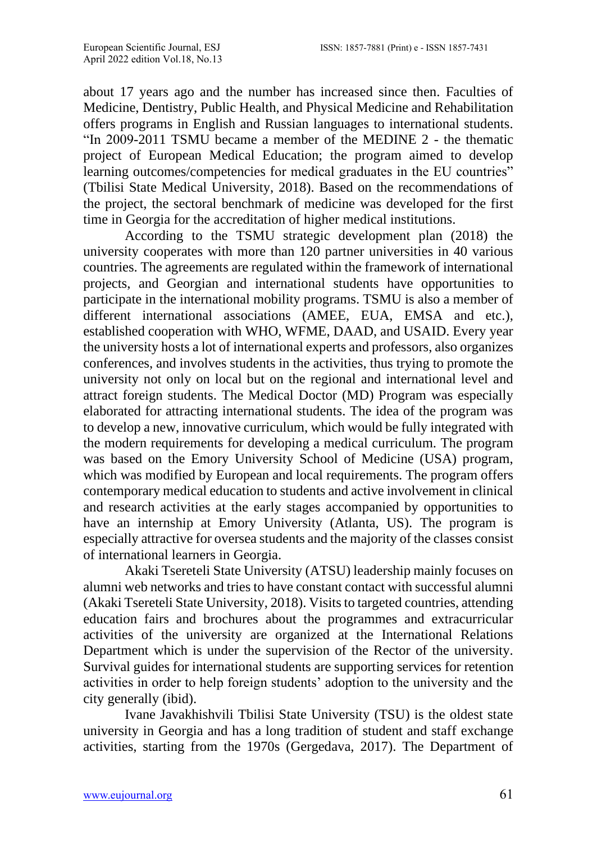about 17 years ago and the number has increased since then. Faculties of Medicine, Dentistry, Public Health, and Physical Medicine and Rehabilitation offers programs in English and Russian languages to international students. "In 2009-2011 TSMU became a member of the MEDINE 2 - the thematic project of European Medical Education; the program aimed to develop learning outcomes/competencies for medical graduates in the EU countries" (Tbilisi State Medical University, 2018). Based on the recommendations of the project, the sectoral benchmark of medicine was developed for the first time in Georgia for the accreditation of higher medical institutions.

According to the TSMU strategic development plan (2018) the university cooperates with more than 120 partner universities in 40 various countries. The agreements are regulated within the framework of international projects, and Georgian and international students have opportunities to participate in the international mobility programs. TSMU is also a member of different international associations (AMEE, EUA, EMSA and etc.), established cooperation with WHO, WFME, DAAD, and USAID. Every year the university hosts a lot of international experts and professors, also organizes conferences, and involves students in the activities, thus trying to promote the university not only on local but on the regional and international level and attract foreign students. The Medical Doctor (MD) Program was especially elaborated for attracting international students. The idea of the program was to develop a new, innovative curriculum, which would be fully integrated with the modern requirements for developing a medical curriculum. The program was based on the Emory University School of Medicine (USA) program, which was modified by European and local requirements. The program offers contemporary medical education to students and active involvement in clinical and research activities at the early stages accompanied by opportunities to have an internship at Emory University (Atlanta, US). The program is especially attractive for oversea students and the majority of the classes consist of international learners in Georgia.

Akaki Tsereteli State University (ATSU) leadership mainly focuses on alumni web networks and tries to have constant contact with successful alumni (Akaki Tsereteli State University, 2018). Visits to targeted countries, attending education fairs and brochures about the programmes and extracurricular activities of the university are organized at the International Relations Department which is under the supervision of the Rector of the university. Survival guides for international students are supporting services for retention activities in order to help foreign students' adoption to the university and the city generally (ibid).

Ivane Javakhishvili Tbilisi State University (TSU) is the oldest state university in Georgia and has a long tradition of student and staff exchange activities, starting from the 1970s (Gergedava, 2017). The Department of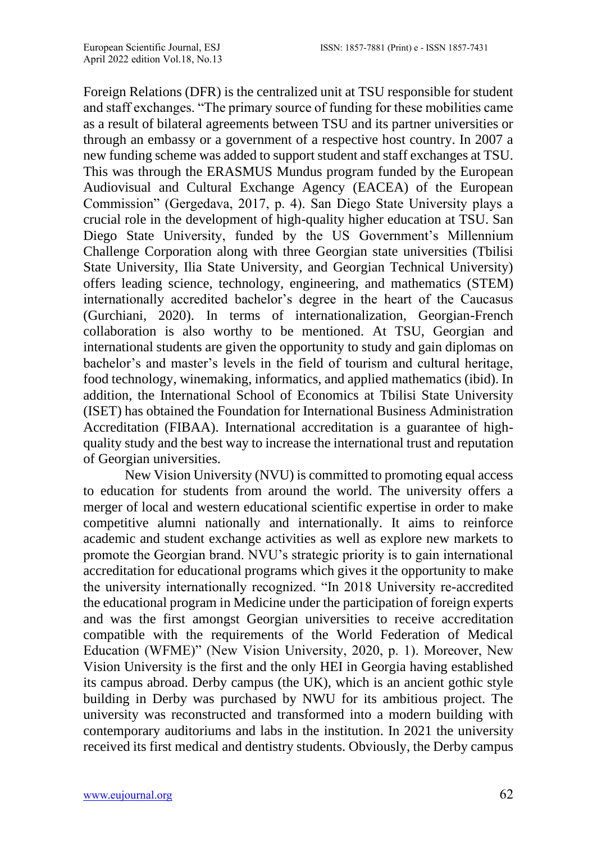Foreign Relations (DFR) is the centralized unit at TSU responsible for student and staff exchanges. "The primary source of funding for these mobilities came as a result of bilateral agreements between TSU and its partner universities or through an embassy or a government of a respective host country. In 2007 a new funding scheme was added to support student and staff exchanges at TSU. This was through the ERASMUS Mundus program funded by the European Audiovisual and Cultural Exchange Agency (EACEA) of the European Commission" (Gergedava, 2017, p. 4). San Diego State University plays a crucial role in the development of high-quality higher education at TSU. San Diego State University, funded by the US Government's Millennium Challenge Corporation along with three Georgian state universities (Tbilisi State University, Ilia State University, and Georgian Technical University) offers leading science, technology, engineering, and mathematics (STEM) internationally accredited bachelor's degree in the heart of the Caucasus (Gurchiani, 2020). In terms of internationalization, Georgian-French collaboration is also worthy to be mentioned. At TSU, Georgian and international students are given the opportunity to study and gain diplomas on bachelor's and master's levels in the field of tourism and cultural heritage, food technology, winemaking, informatics, and applied mathematics (ibid). In addition, the International School of Economics at Tbilisi State University (ISET) has obtained the Foundation for International Business Administration Accreditation (FIBAA). International accreditation is a guarantee of highquality study and the best way to increase the international trust and reputation of Georgian universities.

New Vision University (NVU) is committed to promoting equal access to education for students from around the world. The university offers a merger of local and western educational scientific expertise in order to make competitive alumni nationally and internationally. It aims to reinforce academic and student exchange activities as well as explore new markets to promote the Georgian brand. NVU's strategic priority is to gain international accreditation for educational programs which gives it the opportunity to make the university internationally recognized. "In 2018 University re-accredited the educational program in Medicine under the participation of foreign experts and was the first amongst Georgian universities to receive accreditation compatible with the requirements of the World Federation of Medical Education (WFME)" (New Vision University, 2020, p. 1). Moreover, New Vision University is the first and the only HEI in Georgia having established its campus abroad. Derby campus (the UK), which is an ancient gothic style building in Derby was purchased by NWU for its ambitious project. The university was reconstructed and transformed into a modern building with contemporary auditoriums and labs in the institution. In 2021 the university received its first medical and dentistry students. Obviously, the Derby campus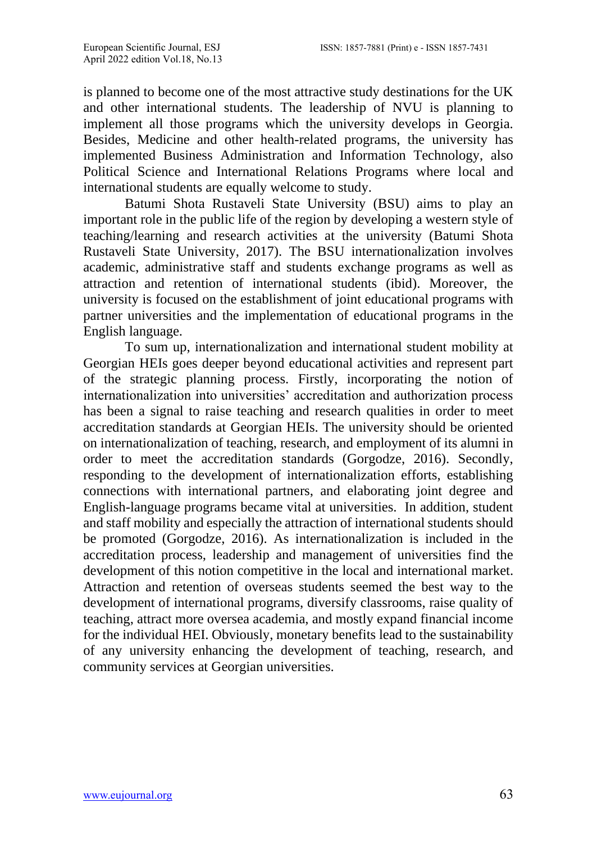is planned to become one of the most attractive study destinations for the UK and other international students. The leadership of NVU is planning to implement all those programs which the university develops in Georgia. Besides, Medicine and other health-related programs, the university has implemented Business Administration and Information Technology, also Political Science and International Relations Programs where local and international students are equally welcome to study.

Batumi Shota Rustaveli State University (BSU) aims to play an important role in the public life of the region by developing a western style of teaching/learning and research activities at the university (Batumi Shota Rustaveli State University, 2017). The BSU internationalization involves academic, administrative staff and students exchange programs as well as attraction and retention of international students (ibid). Moreover, the university is focused on the establishment of joint educational programs with partner universities and the implementation of educational programs in the English language.

To sum up, internationalization and international student mobility at Georgian HEIs goes deeper beyond educational activities and represent part of the strategic planning process. Firstly, incorporating the notion of internationalization into universities' accreditation and authorization process has been a signal to raise teaching and research qualities in order to meet accreditation standards at Georgian HEIs. The university should be oriented on internationalization of teaching, research, and employment of its alumni in order to meet the accreditation standards (Gorgodze, 2016). Secondly, responding to the development of internationalization efforts, establishing connections with international partners, and elaborating joint degree and English-language programs became vital at universities. In addition, student and staff mobility and especially the attraction of international students should be promoted (Gorgodze, 2016). As internationalization is included in the accreditation process, leadership and management of universities find the development of this notion competitive in the local and international market. Attraction and retention of overseas students seemed the best way to the development of international programs, diversify classrooms, raise quality of teaching, attract more oversea academia, and mostly expand financial income for the individual HEI. Obviously, monetary benefits lead to the sustainability of any university enhancing the development of teaching, research, and community services at Georgian universities.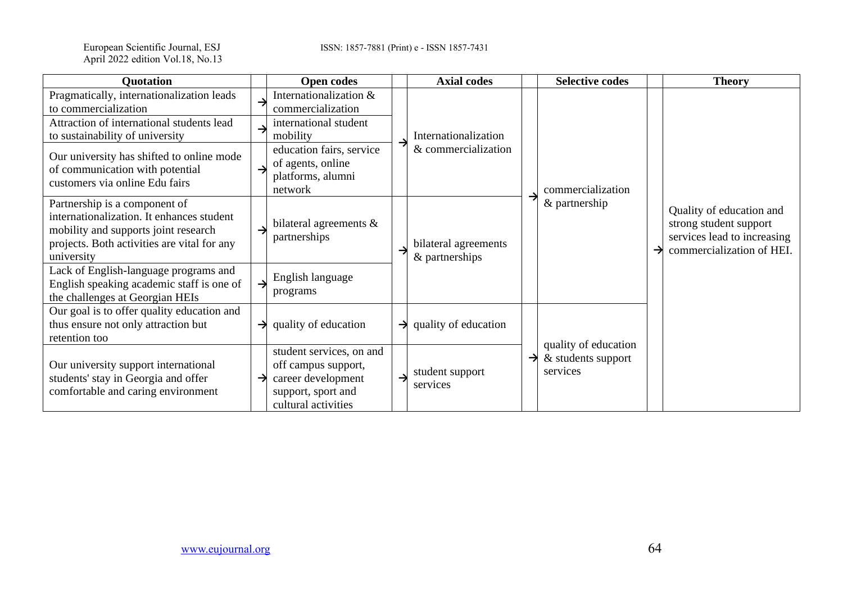European Scientific Journal, ESJ<br>April 2022 edition Vol.18, No.13

ISSN: 1857-7881 (Print) e - ISSN 1857-7431

| <b>Quotation</b>                                                                                                                                                                |               | <b>Open codes</b>                                                                                                  |   | <b>Axial codes</b>                          |  | <b>Selective codes</b>                                 |  | <b>Theory</b>                                                                                                  |
|---------------------------------------------------------------------------------------------------------------------------------------------------------------------------------|---------------|--------------------------------------------------------------------------------------------------------------------|---|---------------------------------------------|--|--------------------------------------------------------|--|----------------------------------------------------------------------------------------------------------------|
| Pragmatically, internationalization leads<br>to commercialization                                                                                                               |               | Internationalization &<br>commercialization                                                                        |   |                                             |  |                                                        |  |                                                                                                                |
| Attraction of international students lead<br>to sustainability of university                                                                                                    |               | international student<br>mobility                                                                                  |   | Internationalization<br>& commercialization |  | commercialization<br>& partnership                     |  | Quality of education and<br>strong student support<br>services lead to increasing<br>commercialization of HEI. |
| Our university has shifted to online mode<br>of communication with potential<br>customers via online Edu fairs                                                                  |               | education fairs, service<br>of agents, online<br>platforms, alumni<br>network                                      |   |                                             |  |                                                        |  |                                                                                                                |
| Partnership is a component of<br>internationalization. It enhances student<br>mobility and supports joint research<br>projects. Both activities are vital for any<br>university |               | bilateral agreements $\&$<br>partnerships                                                                          |   | bilateral agreements<br>& partnerships      |  |                                                        |  |                                                                                                                |
| Lack of English-language programs and<br>English speaking academic staff is one of<br>the challenges at Georgian HEIs                                                           | $\rightarrow$ | English language<br>programs                                                                                       |   |                                             |  |                                                        |  |                                                                                                                |
| Our goal is to offer quality education and<br>thus ensure not only attraction but<br>retention too                                                                              | $\rightarrow$ | quality of education                                                                                               |   | $\rightarrow$ quality of education          |  |                                                        |  |                                                                                                                |
| Our university support international<br>students' stay in Georgia and offer<br>comfortable and caring environment                                                               |               | student services, on and<br>off campus support,<br>career development<br>support, sport and<br>cultural activities | → | student support<br>services                 |  | quality of education<br>& students support<br>services |  |                                                                                                                |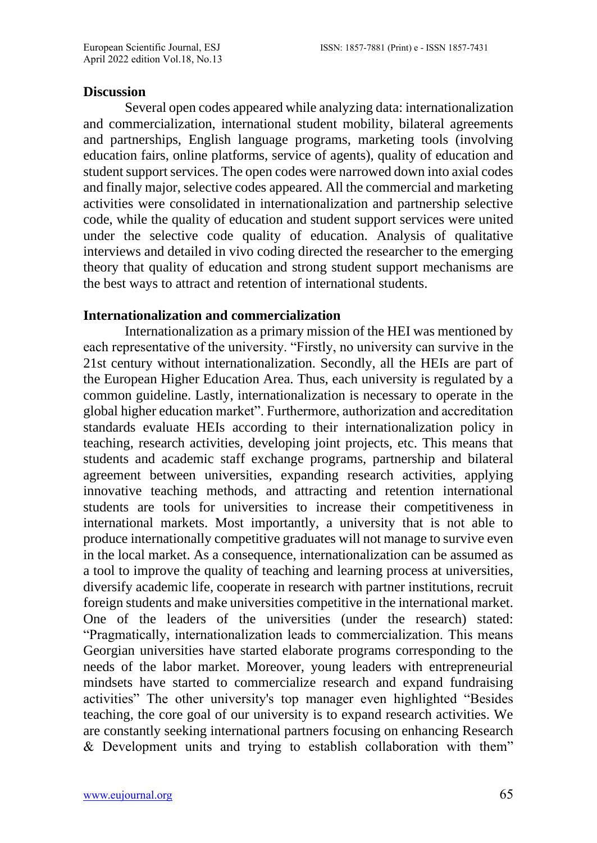#### **Discussion**

Several open codes appeared while analyzing data: internationalization and commercialization, international student mobility, bilateral agreements and partnerships, English language programs, marketing tools (involving education fairs, online platforms, service of agents), quality of education and student support services. The open codes were narrowed down into axial codes and finally major, selective codes appeared. All the commercial and marketing activities were consolidated in internationalization and partnership selective code, while the quality of education and student support services were united under the selective code quality of education. Analysis of qualitative interviews and detailed in vivo coding directed the researcher to the emerging theory that quality of education and strong student support mechanisms are the best ways to attract and retention of international students.

#### **Internationalization and commercialization**

Internationalization as a primary mission of the HEI was mentioned by each representative of the university. "Firstly, no university can survive in the 21st century without internationalization. Secondly, all the HEIs are part of the European Higher Education Area. Thus, each university is regulated by a common guideline. Lastly, internationalization is necessary to operate in the global higher education market". Furthermore, authorization and accreditation standards evaluate HEIs according to their internationalization policy in teaching, research activities, developing joint projects, etc. This means that students and academic staff exchange programs, partnership and bilateral agreement between universities, expanding research activities, applying innovative teaching methods, and attracting and retention international students are tools for universities to increase their competitiveness in international markets. Most importantly, a university that is not able to produce internationally competitive graduates will not manage to survive even in the local market. As a consequence, internationalization can be assumed as a tool to improve the quality of teaching and learning process at universities, diversify academic life, cooperate in research with partner institutions, recruit foreign students and make universities competitive in the international market. One of the leaders of the universities (under the research) stated: "Pragmatically, internationalization leads to commercialization. This means Georgian universities have started elaborate programs corresponding to the needs of the labor market. Moreover, young leaders with entrepreneurial mindsets have started to commercialize research and expand fundraising activities" The other university's top manager even highlighted "Besides teaching, the core goal of our university is to expand research activities. We are constantly seeking international partners focusing on enhancing Research & Development units and trying to establish collaboration with them"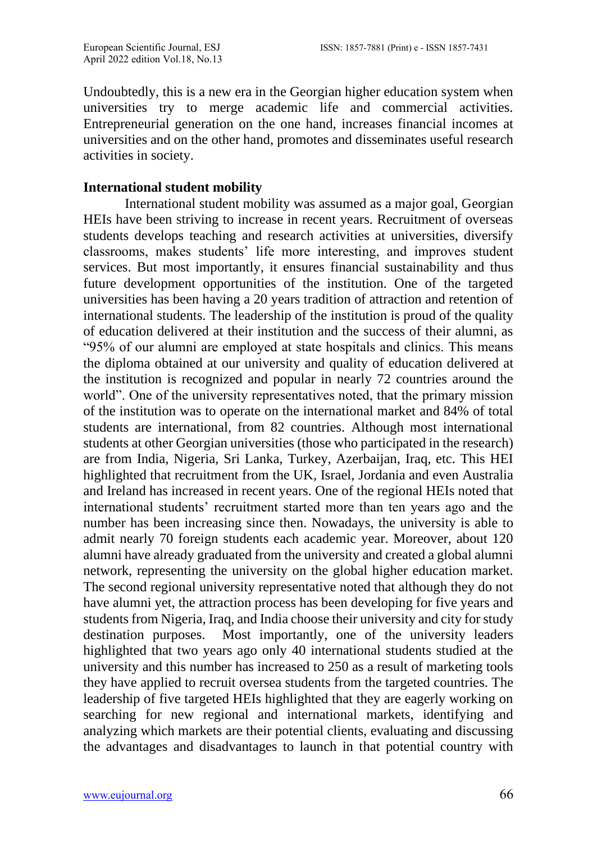Undoubtedly, this is a new era in the Georgian higher education system when universities try to merge academic life and commercial activities. Entrepreneurial generation on the one hand, increases financial incomes at universities and on the other hand, promotes and disseminates useful research activities in society.

# **International student mobility**

International student mobility was assumed as a major goal, Georgian HEIs have been striving to increase in recent years. Recruitment of overseas students develops teaching and research activities at universities, diversify classrooms, makes students' life more interesting, and improves student services. But most importantly, it ensures financial sustainability and thus future development opportunities of the institution. One of the targeted universities has been having a 20 years tradition of attraction and retention of international students. The leadership of the institution is proud of the quality of education delivered at their institution and the success of their alumni, as "95% of our alumni are employed at state hospitals and clinics. This means the diploma obtained at our university and quality of education delivered at the institution is recognized and popular in nearly 72 countries around the world". One of the university representatives noted, that the primary mission of the institution was to operate on the international market and 84% of total students are international, from 82 countries. Although most international students at other Georgian universities (those who participated in the research) are from India, Nigeria, Sri Lanka, Turkey, Azerbaijan, Iraq, etc. This HEI highlighted that recruitment from the UK, Israel, Jordania and even Australia and Ireland has increased in recent years. One of the regional HEIs noted that international students' recruitment started more than ten years ago and the number has been increasing since then. Nowadays, the university is able to admit nearly 70 foreign students each academic year. Moreover, about 120 alumni have already graduated from the university and created a global alumni network, representing the university on the global higher education market. The second regional university representative noted that although they do not have alumni yet, the attraction process has been developing for five years and students from Nigeria, Iraq, and India choose their university and city for study destination purposes. Most importantly, one of the university leaders highlighted that two years ago only 40 international students studied at the university and this number has increased to 250 as a result of marketing tools they have applied to recruit oversea students from the targeted countries. The leadership of five targeted HEIs highlighted that they are eagerly working on searching for new regional and international markets, identifying and analyzing which markets are their potential clients, evaluating and discussing the advantages and disadvantages to launch in that potential country with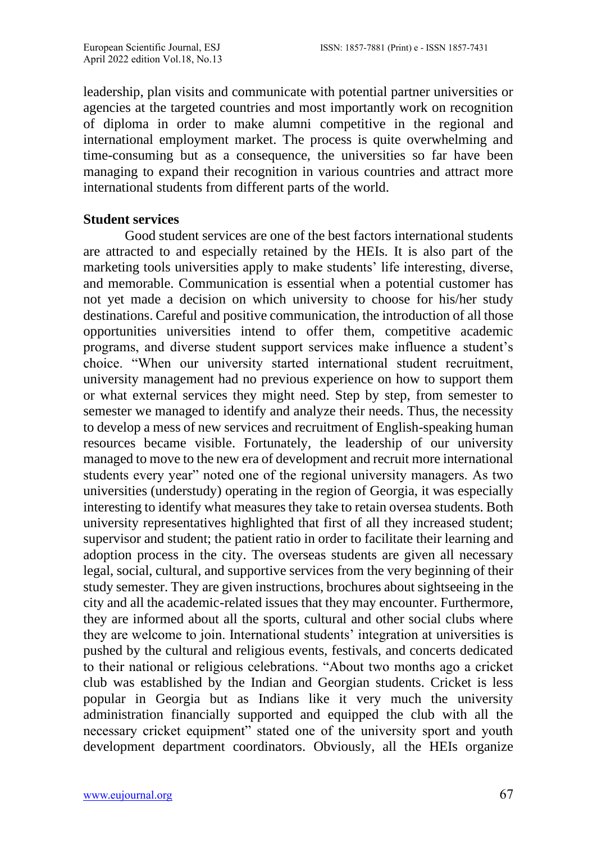leadership, plan visits and communicate with potential partner universities or agencies at the targeted countries and most importantly work on recognition of diploma in order to make alumni competitive in the regional and international employment market. The process is quite overwhelming and time-consuming but as a consequence, the universities so far have been managing to expand their recognition in various countries and attract more international students from different parts of the world.

### **Student services**

Good student services are one of the best factors international students are attracted to and especially retained by the HEIs. It is also part of the marketing tools universities apply to make students' life interesting, diverse, and memorable. Communication is essential when a potential customer has not yet made a decision on which university to choose for his/her study destinations. Careful and positive communication, the introduction of all those opportunities universities intend to offer them, competitive academic programs, and diverse student support services make influence a student's choice. "When our university started international student recruitment, university management had no previous experience on how to support them or what external services they might need. Step by step, from semester to semester we managed to identify and analyze their needs. Thus, the necessity to develop a mess of new services and recruitment of English-speaking human resources became visible. Fortunately, the leadership of our university managed to move to the new era of development and recruit more international students every year" noted one of the regional university managers. As two universities (understudy) operating in the region of Georgia, it was especially interesting to identify what measures they take to retain oversea students. Both university representatives highlighted that first of all they increased student; supervisor and student; the patient ratio in order to facilitate their learning and adoption process in the city. The overseas students are given all necessary legal, social, cultural, and supportive services from the very beginning of their study semester. They are given instructions, brochures about sightseeing in the city and all the academic-related issues that they may encounter. Furthermore, they are informed about all the sports, cultural and other social clubs where they are welcome to join. International students' integration at universities is pushed by the cultural and religious events, festivals, and concerts dedicated to their national or religious celebrations. "About two months ago a cricket club was established by the Indian and Georgian students. Cricket is less popular in Georgia but as Indians like it very much the university administration financially supported and equipped the club with all the necessary cricket equipment" stated one of the university sport and youth development department coordinators. Obviously, all the HEIs organize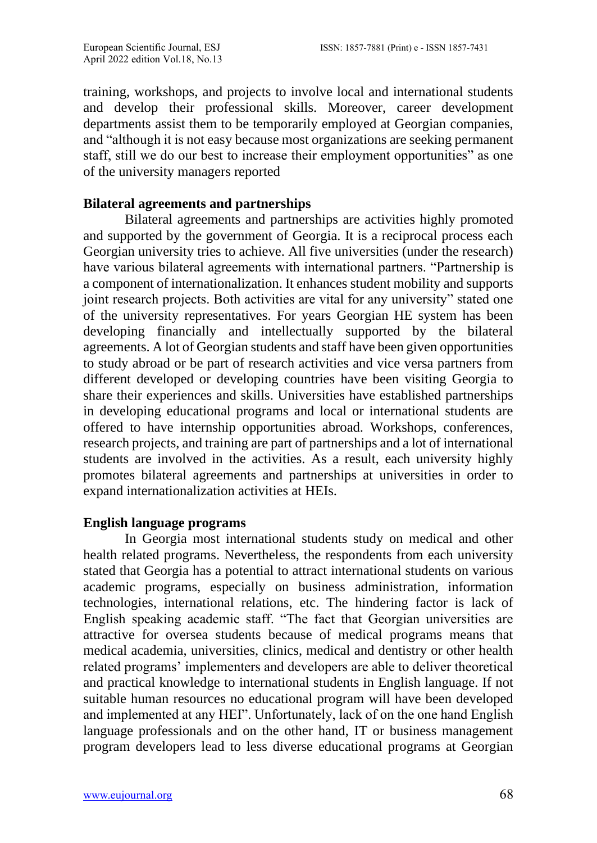training, workshops, and projects to involve local and international students and develop their professional skills. Moreover, career development departments assist them to be temporarily employed at Georgian companies, and "although it is not easy because most organizations are seeking permanent staff, still we do our best to increase their employment opportunities" as one of the university managers reported

### **Bilateral agreements and partnerships**

Bilateral agreements and partnerships are activities highly promoted and supported by the government of Georgia. It is a reciprocal process each Georgian university tries to achieve. All five universities (under the research) have various bilateral agreements with international partners. "Partnership is a component of internationalization. It enhances student mobility and supports joint research projects. Both activities are vital for any university" stated one of the university representatives. For years Georgian HE system has been developing financially and intellectually supported by the bilateral agreements. A lot of Georgian students and staff have been given opportunities to study abroad or be part of research activities and vice versa partners from different developed or developing countries have been visiting Georgia to share their experiences and skills. Universities have established partnerships in developing educational programs and local or international students are offered to have internship opportunities abroad. Workshops, conferences, research projects, and training are part of partnerships and a lot of international students are involved in the activities. As a result, each university highly promotes bilateral agreements and partnerships at universities in order to expand internationalization activities at HEIs.

### **English language programs**

In Georgia most international students study on medical and other health related programs. Nevertheless, the respondents from each university stated that Georgia has a potential to attract international students on various academic programs, especially on business administration, information technologies, international relations, etc. The hindering factor is lack of English speaking academic staff. "The fact that Georgian universities are attractive for oversea students because of medical programs means that medical academia, universities, clinics, medical and dentistry or other health related programs' implementers and developers are able to deliver theoretical and practical knowledge to international students in English language. If not suitable human resources no educational program will have been developed and implemented at any HEI". Unfortunately, lack of on the one hand English language professionals and on the other hand, IT or business management program developers lead to less diverse educational programs at Georgian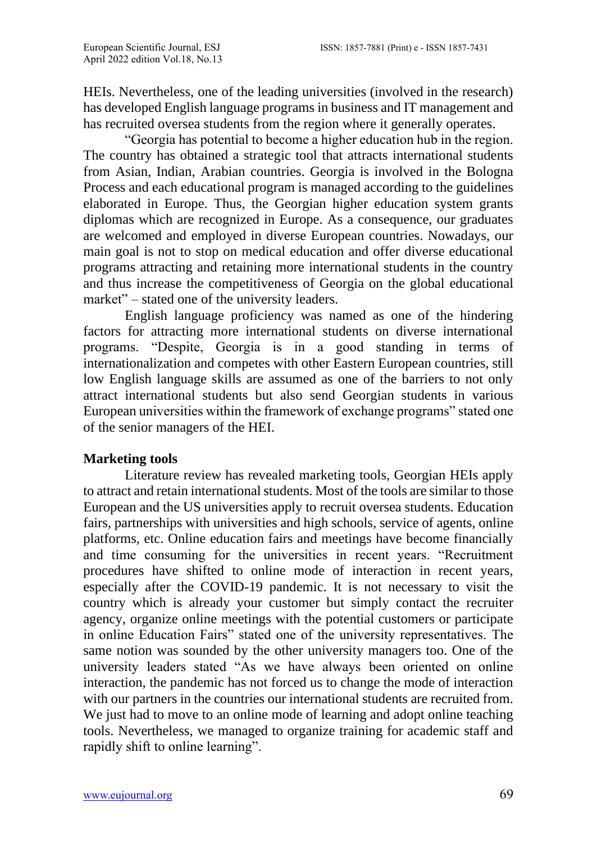HEIs. Nevertheless, one of the leading universities (involved in the research) has developed English language programs in business and IT management and has recruited oversea students from the region where it generally operates.

"Georgia has potential to become a higher education hub in the region. The country has obtained a strategic tool that attracts international students from Asian, Indian, Arabian countries. Georgia is involved in the Bologna Process and each educational program is managed according to the guidelines elaborated in Europe. Thus, the Georgian higher education system grants diplomas which are recognized in Europe. As a consequence, our graduates are welcomed and employed in diverse European countries. Nowadays, our main goal is not to stop on medical education and offer diverse educational programs attracting and retaining more international students in the country and thus increase the competitiveness of Georgia on the global educational market" – stated one of the university leaders.

English language proficiency was named as one of the hindering factors for attracting more international students on diverse international programs. "Despite, Georgia is in a good standing in terms of internationalization and competes with other Eastern European countries, still low English language skills are assumed as one of the barriers to not only attract international students but also send Georgian students in various European universities within the framework of exchange programs" stated one of the senior managers of the HEI.

# **Marketing tools**

Literature review has revealed marketing tools, Georgian HEIs apply to attract and retain international students. Most of the tools are similar to those European and the US universities apply to recruit oversea students. Education fairs, partnerships with universities and high schools, service of agents, online platforms, etc. Online education fairs and meetings have become financially and time consuming for the universities in recent years. "Recruitment procedures have shifted to online mode of interaction in recent years, especially after the COVID-19 pandemic. It is not necessary to visit the country which is already your customer but simply contact the recruiter agency, organize online meetings with the potential customers or participate in online Education Fairs" stated one of the university representatives. The same notion was sounded by the other university managers too. One of the university leaders stated "As we have always been oriented on online interaction, the pandemic has not forced us to change the mode of interaction with our partners in the countries our international students are recruited from. We just had to move to an online mode of learning and adopt online teaching tools. Nevertheless, we managed to organize training for academic staff and rapidly shift to online learning".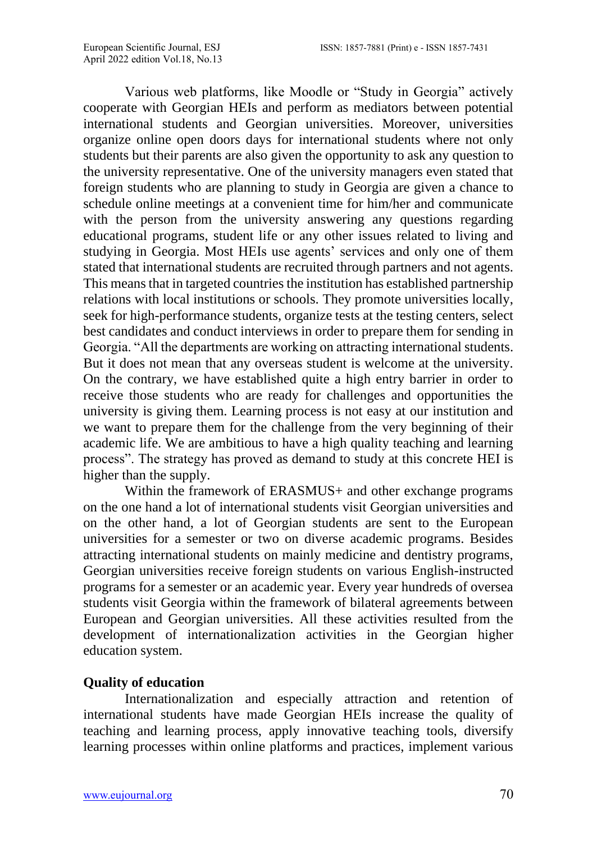Various web platforms, like Moodle or "Study in Georgia" actively cooperate with Georgian HEIs and perform as mediators between potential international students and Georgian universities. Moreover, universities organize online open doors days for international students where not only students but their parents are also given the opportunity to ask any question to the university representative. One of the university managers even stated that foreign students who are planning to study in Georgia are given a chance to schedule online meetings at a convenient time for him/her and communicate with the person from the university answering any questions regarding educational programs, student life or any other issues related to living and studying in Georgia. Most HEIs use agents' services and only one of them stated that international students are recruited through partners and not agents. This means that in targeted countries the institution has established partnership relations with local institutions or schools. They promote universities locally, seek for high-performance students, organize tests at the testing centers, select best candidates and conduct interviews in order to prepare them for sending in Georgia. "All the departments are working on attracting international students. But it does not mean that any overseas student is welcome at the university. On the contrary, we have established quite a high entry barrier in order to receive those students who are ready for challenges and opportunities the university is giving them. Learning process is not easy at our institution and we want to prepare them for the challenge from the very beginning of their academic life. We are ambitious to have a high quality teaching and learning process". The strategy has proved as demand to study at this concrete HEI is higher than the supply.

Within the framework of ERASMUS+ and other exchange programs on the one hand a lot of international students visit Georgian universities and on the other hand, a lot of Georgian students are sent to the European universities for a semester or two on diverse academic programs. Besides attracting international students on mainly medicine and dentistry programs, Georgian universities receive foreign students on various English-instructed programs for a semester or an academic year. Every year hundreds of oversea students visit Georgia within the framework of bilateral agreements between European and Georgian universities. All these activities resulted from the development of internationalization activities in the Georgian higher education system.

# **Quality of education**

Internationalization and especially attraction and retention of international students have made Georgian HEIs increase the quality of teaching and learning process, apply innovative teaching tools, diversify learning processes within online platforms and practices, implement various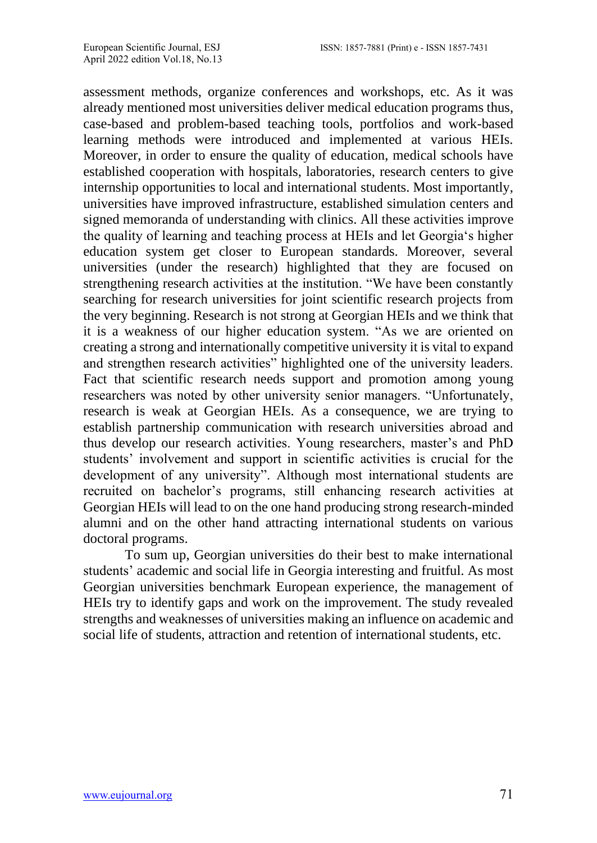assessment methods, organize conferences and workshops, etc. As it was already mentioned most universities deliver medical education programs thus, case-based and problem-based teaching tools, portfolios and work-based learning methods were introduced and implemented at various HEIs. Moreover, in order to ensure the quality of education, medical schools have established cooperation with hospitals, laboratories, research centers to give internship opportunities to local and international students. Most importantly, universities have improved infrastructure, established simulation centers and signed memoranda of understanding with clinics. All these activities improve the quality of learning and teaching process at HEIs and let Georgia's higher education system get closer to European standards. Moreover, several universities (under the research) highlighted that they are focused on strengthening research activities at the institution. "We have been constantly searching for research universities for joint scientific research projects from the very beginning. Research is not strong at Georgian HEIs and we think that it is a weakness of our higher education system. "As we are oriented on creating a strong and internationally competitive university it is vital to expand and strengthen research activities" highlighted one of the university leaders. Fact that scientific research needs support and promotion among young researchers was noted by other university senior managers. "Unfortunately, research is weak at Georgian HEIs. As a consequence, we are trying to establish partnership communication with research universities abroad and thus develop our research activities. Young researchers, master's and PhD students' involvement and support in scientific activities is crucial for the development of any university". Although most international students are recruited on bachelor's programs, still enhancing research activities at Georgian HEIs will lead to on the one hand producing strong research-minded alumni and on the other hand attracting international students on various doctoral programs.

To sum up, Georgian universities do their best to make international students' academic and social life in Georgia interesting and fruitful. As most Georgian universities benchmark European experience, the management of HEIs try to identify gaps and work on the improvement. The study revealed strengths and weaknesses of universities making an influence on academic and social life of students, attraction and retention of international students, etc.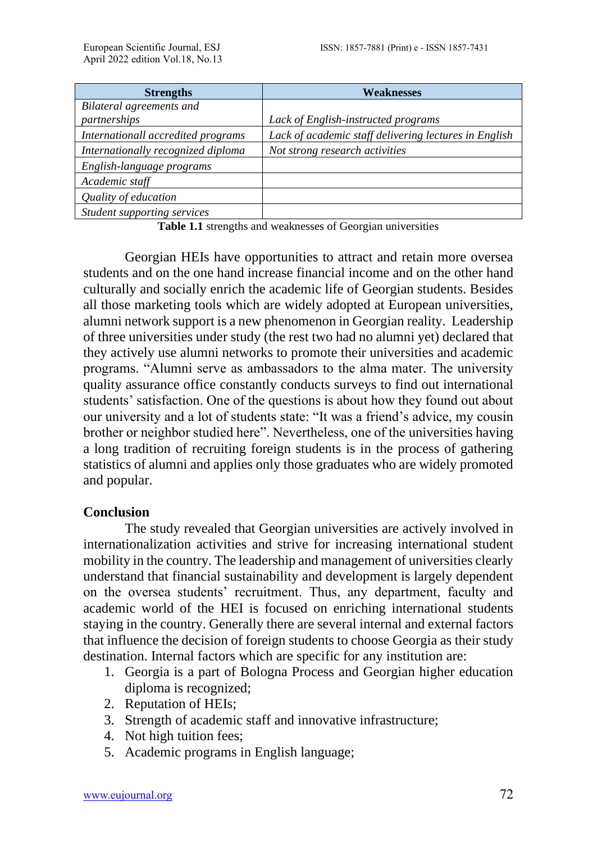| <b>Strengths</b>                   | Weaknesses                                            |
|------------------------------------|-------------------------------------------------------|
| Bilateral agreements and           |                                                       |
| partnerships                       | Lack of English-instructed programs                   |
| Internationall accredited programs | Lack of academic staff delivering lectures in English |
| Internationally recognized diploma | Not strong research activities                        |
| English-language programs          |                                                       |
| Academic staff                     |                                                       |
| Quality of education               |                                                       |
| Student supporting services        |                                                       |

**Table 1.1** strengths and weaknesses of Georgian universities

Georgian HEIs have opportunities to attract and retain more oversea students and on the one hand increase financial income and on the other hand culturally and socially enrich the academic life of Georgian students. Besides all those marketing tools which are widely adopted at European universities, alumni network support is a new phenomenon in Georgian reality. Leadership of three universities under study (the rest two had no alumni yet) declared that they actively use alumni networks to promote their universities and academic programs. "Alumni serve as ambassadors to the alma mater. The university quality assurance office constantly conducts surveys to find out international students' satisfaction. One of the questions is about how they found out about our university and a lot of students state: "It was a friend's advice, my cousin brother or neighbor studied here". Nevertheless, one of the universities having a long tradition of recruiting foreign students is in the process of gathering statistics of alumni and applies only those graduates who are widely promoted and popular.

#### **Conclusion**

The study revealed that Georgian universities are actively involved in internationalization activities and strive for increasing international student mobility in the country. The leadership and management of universities clearly understand that financial sustainability and development is largely dependent on the oversea students' recruitment. Thus, any department, faculty and academic world of the HEI is focused on enriching international students staying in the country. Generally there are several internal and external factors that influence the decision of foreign students to choose Georgia as their study destination. Internal factors which are specific for any institution are:

- 1. Georgia is a part of Bologna Process and Georgian higher education diploma is recognized;
- 2. Reputation of HEIs;
- 3. Strength of academic staff and innovative infrastructure;
- 4. Not high tuition fees;
- 5. Academic programs in English language;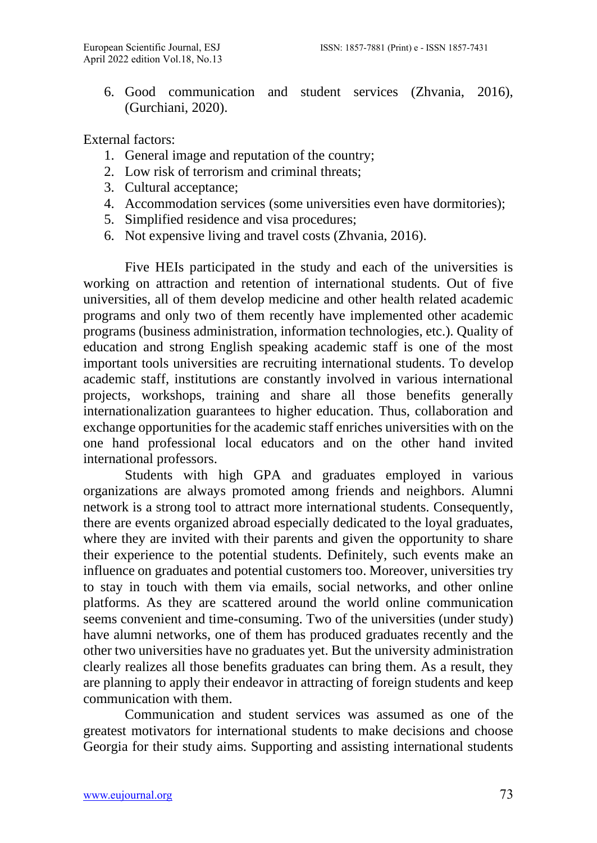6. Good communication and student services (Zhvania, 2016), (Gurchiani, 2020).

External factors:

- 1. General image and reputation of the country;
- 2. Low risk of terrorism and criminal threats;
- 3. Cultural acceptance;
- 4. Accommodation services (some universities even have dormitories);
- 5. Simplified residence and visa procedures;
- 6. Not expensive living and travel costs (Zhvania, 2016).

Five HEIs participated in the study and each of the universities is working on attraction and retention of international students. Out of five universities, all of them develop medicine and other health related academic programs and only two of them recently have implemented other academic programs (business administration, information technologies, etc.). Quality of education and strong English speaking academic staff is one of the most important tools universities are recruiting international students. To develop academic staff, institutions are constantly involved in various international projects, workshops, training and share all those benefits generally internationalization guarantees to higher education. Thus, collaboration and exchange opportunities for the academic staff enriches universities with on the one hand professional local educators and on the other hand invited international professors.

Students with high GPA and graduates employed in various organizations are always promoted among friends and neighbors. Alumni network is a strong tool to attract more international students. Consequently, there are events organized abroad especially dedicated to the loyal graduates, where they are invited with their parents and given the opportunity to share their experience to the potential students. Definitely, such events make an influence on graduates and potential customers too. Moreover, universities try to stay in touch with them via emails, social networks, and other online platforms. As they are scattered around the world online communication seems convenient and time-consuming. Two of the universities (under study) have alumni networks, one of them has produced graduates recently and the other two universities have no graduates yet. But the university administration clearly realizes all those benefits graduates can bring them. As a result, they are planning to apply their endeavor in attracting of foreign students and keep communication with them.

Communication and student services was assumed as one of the greatest motivators for international students to make decisions and choose Georgia for their study aims. Supporting and assisting international students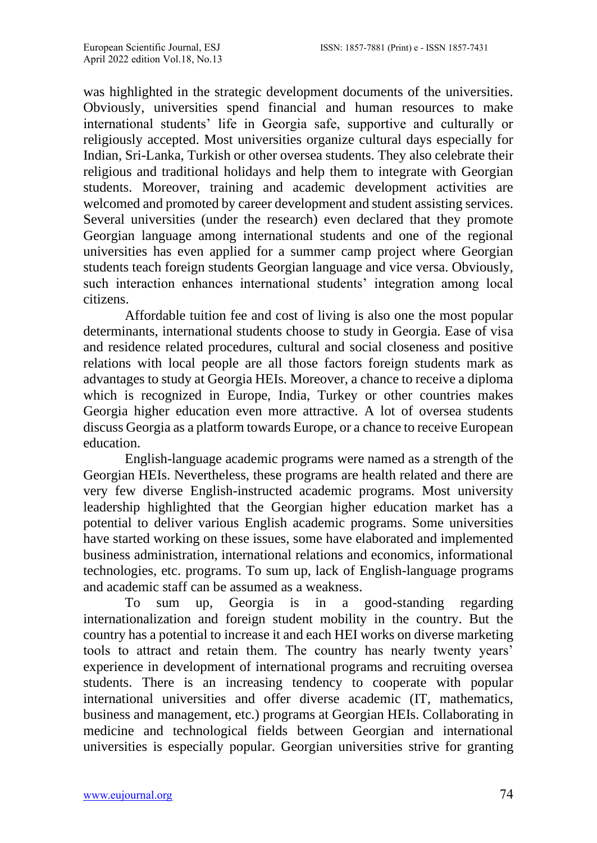was highlighted in the strategic development documents of the universities. Obviously, universities spend financial and human resources to make international students' life in Georgia safe, supportive and culturally or religiously accepted. Most universities organize cultural days especially for Indian, Sri-Lanka, Turkish or other oversea students. They also celebrate their religious and traditional holidays and help them to integrate with Georgian students. Moreover, training and academic development activities are welcomed and promoted by career development and student assisting services. Several universities (under the research) even declared that they promote Georgian language among international students and one of the regional universities has even applied for a summer camp project where Georgian students teach foreign students Georgian language and vice versa. Obviously, such interaction enhances international students' integration among local citizens.

Affordable tuition fee and cost of living is also one the most popular determinants, international students choose to study in Georgia. Ease of visa and residence related procedures, cultural and social closeness and positive relations with local people are all those factors foreign students mark as advantages to study at Georgia HEIs. Moreover, a chance to receive a diploma which is recognized in Europe, India, Turkey or other countries makes Georgia higher education even more attractive. A lot of oversea students discuss Georgia as a platform towards Europe, or a chance to receive European education.

English-language academic programs were named as a strength of the Georgian HEIs. Nevertheless, these programs are health related and there are very few diverse English-instructed academic programs. Most university leadership highlighted that the Georgian higher education market has a potential to deliver various English academic programs. Some universities have started working on these issues, some have elaborated and implemented business administration, international relations and economics, informational technologies, etc. programs. To sum up, lack of English-language programs and academic staff can be assumed as a weakness.

To sum up, Georgia is in a good-standing regarding internationalization and foreign student mobility in the country. But the country has a potential to increase it and each HEI works on diverse marketing tools to attract and retain them. The country has nearly twenty years' experience in development of international programs and recruiting oversea students. There is an increasing tendency to cooperate with popular international universities and offer diverse academic (IT, mathematics, business and management, etc.) programs at Georgian HEIs. Collaborating in medicine and technological fields between Georgian and international universities is especially popular. Georgian universities strive for granting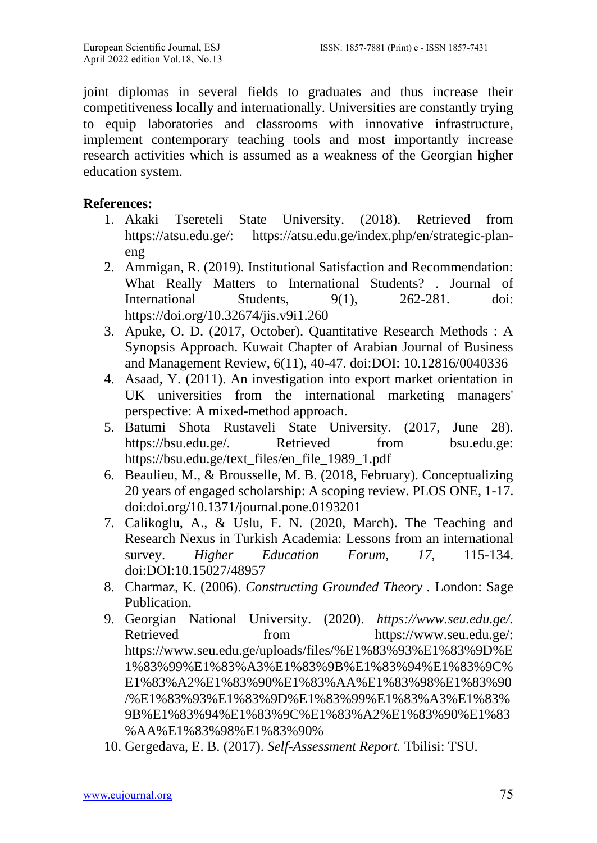joint diplomas in several fields to graduates and thus increase their competitiveness locally and internationally. Universities are constantly trying to equip laboratories and classrooms with innovative infrastructure, implement contemporary teaching tools and most importantly increase research activities which is assumed as a weakness of the Georgian higher education system.

### **References:**

- 1. Akaki Tsereteli State University. (2018). Retrieved from https://atsu.edu.ge/: https://atsu.edu.ge/index.php/en/strategic-planeng
- 2. Ammigan, R. (2019). Institutional Satisfaction and Recommendation: What Really Matters to International Students? . Journal of International Students, 9(1), 262-281. doi: https://doi.org/10.32674/jis.v9i1.260
- 3. Apuke, O. D. (2017, October). Quantitative Research Methods : A Synopsis Approach. Kuwait Chapter of Arabian Journal of Business and Management Review, 6(11), 40-47. doi:DOI: 10.12816/0040336
- 4. Asaad, Y. (2011). An investigation into export market orientation in UK universities from the international marketing managers' perspective: A mixed-method approach.
- 5. Batumi Shota Rustaveli State University. (2017, June 28). https://bsu.edu.ge/. Retrieved from bsu.edu.ge: https://bsu.edu.ge/text\_files/en\_file\_1989\_1.pdf
- 6. Beaulieu, M., & Brousselle, M. B. (2018, February). Conceptualizing 20 years of engaged scholarship: A scoping review. PLOS ONE, 1-17. doi:doi.org/10.1371/journal.pone.0193201
- 7. Calikoglu, A., & Uslu, F. N. (2020, March). The Teaching and Research Nexus in Turkish Academia: Lessons from an international survey. *Higher Education Forum, 17*, 115-134. doi:DOI:10.15027/48957
- 8. Charmaz, K. (2006). *Constructing Grounded Theory .* London: Sage Publication.
- 9. Georgian National University. (2020). *https://www.seu.edu.ge/.* Retrieved from https://www.seu.edu.ge/: https://www.seu.edu.ge/uploads/files/%E1%83%93%E1%83%9D%E 1%83%99%E1%83%A3%E1%83%9B%E1%83%94%E1%83%9C% E1%83%A2%E1%83%90%E1%83%AA%E1%83%98%E1%83%90 /%E1%83%93%E1%83%9D%E1%83%99%E1%83%A3%E1%83% 9B%E1%83%94%E1%83%9C%E1%83%A2%E1%83%90%E1%83 %AA%E1%83%98%E1%83%90%
- 10. Gergedava, E. B. (2017). *Self-Assessment Report.* Tbilisi: TSU.